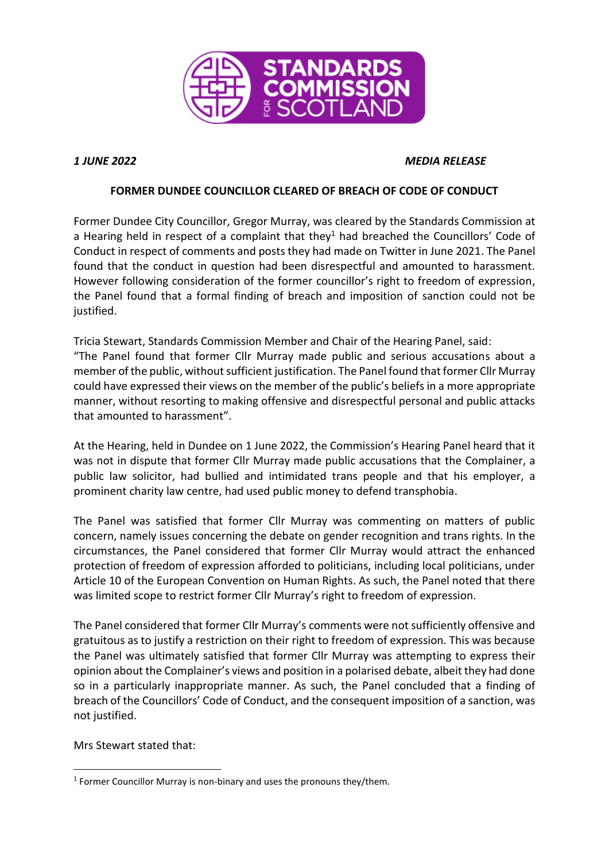

## *1 JUNE 2022 MEDIA RELEASE*

## **FORMER DUNDEE COUNCILLOR CLEARED OF BREACH OF CODE OF CONDUCT**

Former Dundee City Councillor, Gregor Murray, was cleared by the Standards Commission at a Hearing held in respect of a complaint that they<sup>1</sup> had breached the Councillors' Code of Conduct in respect of comments and posts they had made on Twitter in June 2021. The Panel found that the conduct in question had been disrespectful and amounted to harassment. However following consideration of the former councillor's right to freedom of expression, the Panel found that a formal finding of breach and imposition of sanction could not be justified.

Tricia Stewart, Standards Commission Member and Chair of the Hearing Panel, said: "The Panel found that former Cllr Murray made public and serious accusations about a member of the public, without sufficient justification. The Panel found that former Cllr Murray could have expressed their views on the member of the public's beliefs in a more appropriate manner, without resorting to making offensive and disrespectful personal and public attacks that amounted to harassment".

At the Hearing, held in Dundee on 1 June 2022, the Commission's Hearing Panel heard that it was not in dispute that former Cllr Murray made public accusations that the Complainer, a public law solicitor, had bullied and intimidated trans people and that his employer, a prominent charity law centre, had used public money to defend transphobia.

The Panel was satisfied that former Cllr Murray was commenting on matters of public concern, namely issues concerning the debate on gender recognition and trans rights. In the circumstances, the Panel considered that former Cllr Murray would attract the enhanced protection of freedom of expression afforded to politicians, including local politicians, under Article 10 of the European Convention on Human Rights. As such, the Panel noted that there was limited scope to restrict former Cllr Murray's right to freedom of expression.

The Panel considered that former Cllr Murray's comments were not sufficiently offensive and gratuitous as to justify a restriction on their right to freedom of expression. This was because the Panel was ultimately satisfied that former Cllr Murray was attempting to express their opinion about the Complainer's views and position in a polarised debate, albeit they had done so in a particularly inappropriate manner. As such, the Panel concluded that a finding of breach of the Councillors' Code of Conduct, and the consequent imposition of a sanction, was not justified.

Mrs Stewart stated that:

**.** 

<sup>&</sup>lt;sup>1</sup> Former Councillor Murray is non-binary and uses the pronouns they/them.